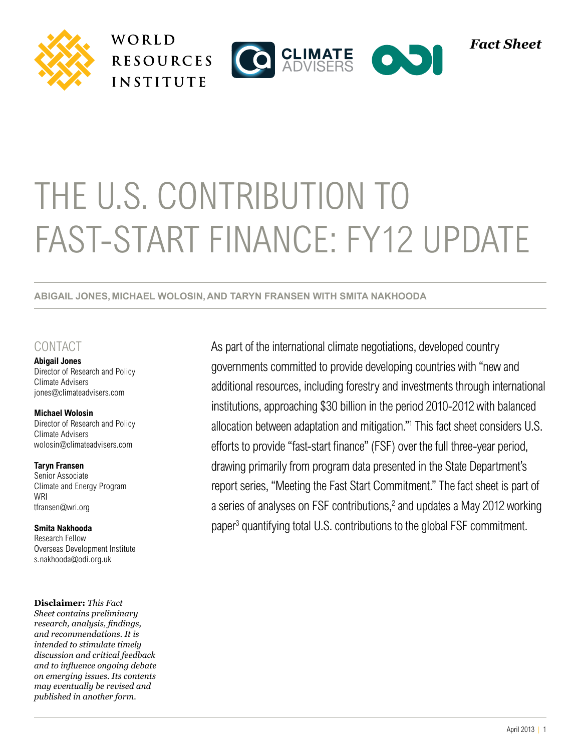







# THE U.S. CONTRIBUTION TO Fast-Start Finance: FY12 UPDATE

**Abigail Jones, Michael Wolosin,and Taryn Fransen WITH SMITA NAKHOODA**

### **CONTACT**

**Abigail Jones**  Director of Research and Policy Climate Advisers jones@climateadvisers.com

**Michael Wolosin**  Director of Research and Policy Climate Advisers wolosin@climateadvisers.com

#### **Taryn Fransen**

Senior Associate Climate and Energy Program WRI tfransen@wri.org

**Smita Nakhooda** Research Fellow Overseas Development Institute s.nakhooda@odi.org.uk

**Disclaimer:** *This Fact* 

*Sheet contains preliminary research, analysis, findings, and recommendations. It is intended to stimulate timely discussion and critical feedback and to influence ongoing debate on emerging issues. Its contents may eventually be revised and published in another form.*

As part of the international climate negotiations, developed country governments committed to provide developing countries with "new and additional resources, including forestry and investments through international institutions, approaching \$30 billion in the period 2010-2012 with balanced allocation between adaptation and mitigation."1 This fact sheet considers U.S. efforts to provide "fast-start finance" (FSF) over the full three-year period, drawing primarily from program data presented in the State Department's report series, "Meeting the Fast Start Commitment." The fact sheet is part of a series of analyses on FSF contributions,<sup>2</sup> and updates a May 2012 working paper<sup>3</sup> quantifying total U.S. contributions to the global FSF commitment.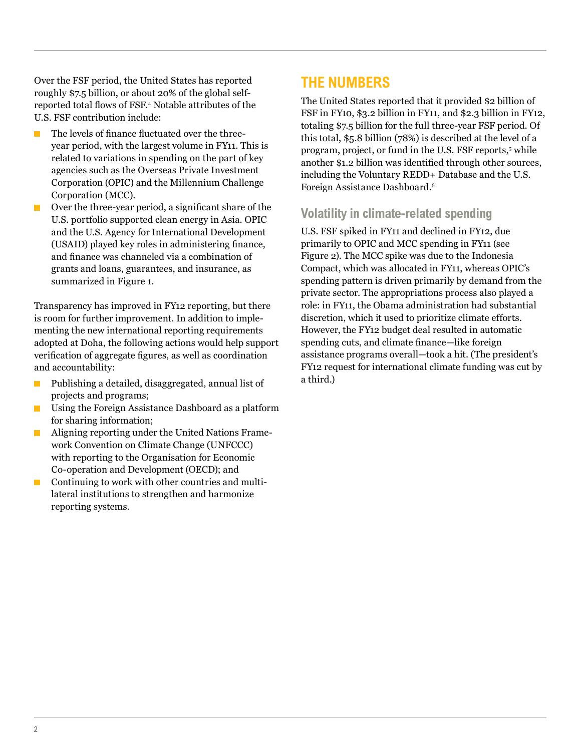Over the FSF period, the United States has reported roughly \$7.5 billion, or about 20% of the global selfreported total flows of FSF.<sup>4</sup> Notable attributes of the U.S. FSF contribution include:

- The levels of finance fluctuated over the threeyear period, with the largest volume in FY11. This is related to variations in spending on the part of key agencies such as the Overseas Private Investment Corporation (OPIC) and the Millennium Challenge Corporation (MCC).
- Over the three-year period, a significant share of the U.S. portfolio supported clean energy in Asia. OPIC and the U.S. Agency for International Development (USAID) played key roles in administering finance, and finance was channeled via a combination of grants and loans, guarantees, and insurance, as summarized in Figure 1.

Transparency has improved in FY12 reporting, but there is room for further improvement. In addition to implementing the new international reporting requirements adopted at Doha, the following actions would help support verification of aggregate figures, as well as coordination and accountability:

- Publishing a detailed, disaggregated, annual list of projects and programs;
- Using the Foreign Assistance Dashboard as a platform  $\mathbb{R}^3$ for sharing information;
- Aligning reporting under the United Nations Frame-П work Convention on Climate Change (UNFCCC) with reporting to the Organisation for Economic Co-operation and Development (OECD); and
- Continuing to work with other countries and multi- $\blacksquare$ lateral institutions to strengthen and harmonize reporting systems.

# **The Numbers**

The United States reported that it provided \$2 billion of FSF in FY10, \$3.2 billion in FY11, and \$2.3 billion in FY12, totaling \$7.5 billion for the full three-year FSF period. Of this total, \$5.8 billion (78%) is described at the level of a program, project, or fund in the U.S. FSF reports,<sup>5</sup> while another \$1.2 billion was identified through other sources, including the Voluntary REDD+ Database and the U.S. Foreign Assistance Dashboard.6

## **Volatility in climate-related spending**

U.S. FSF spiked in FY11 and declined in FY12, due primarily to OPIC and MCC spending in FY11 (see Figure 2). The MCC spike was due to the Indonesia Compact, which was allocated in FY11, whereas OPIC's spending pattern is driven primarily by demand from the private sector. The appropriations process also played a role: in FY11, the Obama administration had substantial discretion, which it used to prioritize climate efforts. However, the FY12 budget deal resulted in automatic spending cuts, and climate finance—like foreign assistance programs overall—took a hit. (The president's FY12 request for international climate funding was cut by a third.)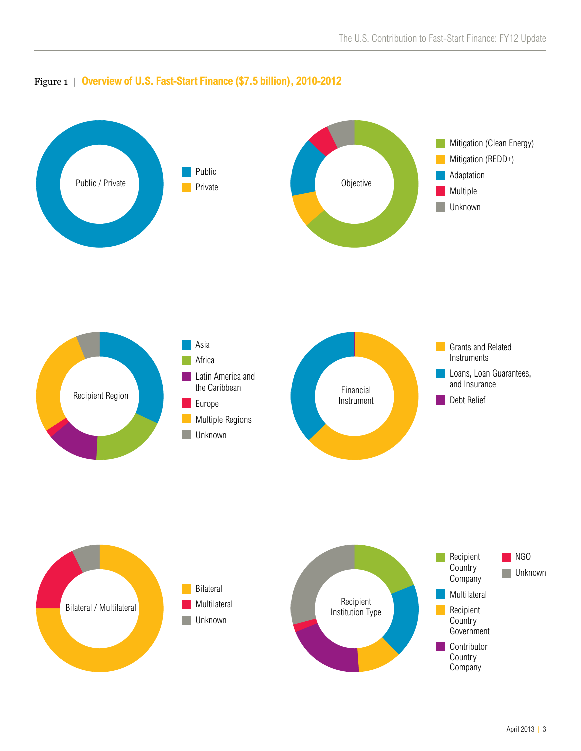

## Figure 1 | **Overview of U.S. Fast-Start Finance (\$7.5 billion), 2010-2012**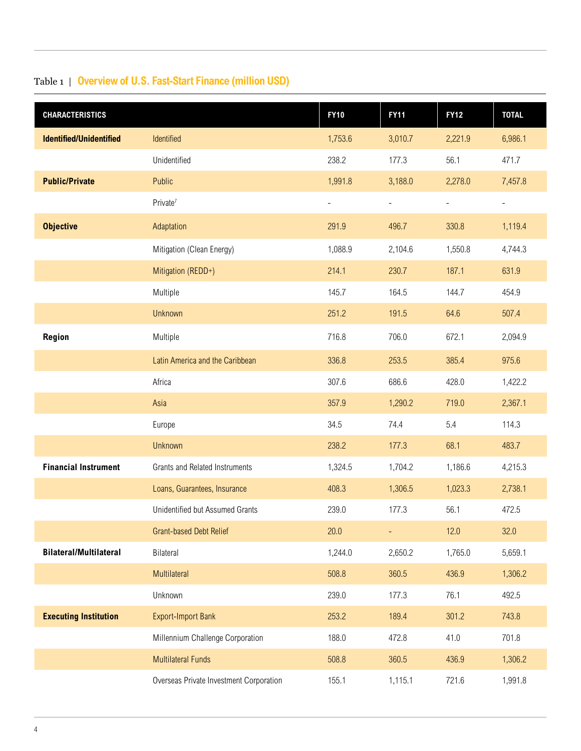# Table 1 | **Overview of U.S. Fast-Start Finance (million USD)**

| <b>CHARACTERISTICS</b>         |                                         | <b>FY10</b>              | <b>FY11</b>              | <b>FY12</b>              | <b>TOTAL</b>             |
|--------------------------------|-----------------------------------------|--------------------------|--------------------------|--------------------------|--------------------------|
| <b>Identified/Unidentified</b> | Identified                              | 1,753.6                  | 3,010.7                  | 2,221.9                  | 6,986.1                  |
|                                | Unidentified                            | 238.2                    | 177.3                    | 56.1                     | 471.7                    |
| <b>Public/Private</b>          | Public                                  | 1,991.8                  | 3,188.0                  | 2,278.0                  | 7,457.8                  |
|                                | Private <sup>7</sup>                    | $\overline{\phantom{0}}$ | $\overline{\phantom{0}}$ | $\overline{\phantom{a}}$ | $\overline{\phantom{0}}$ |
| <b>Objective</b>               | Adaptation                              | 291.9                    | 496.7                    | 330.8                    | 1,119.4                  |
|                                | Mitigation (Clean Energy)               | 1,088.9                  | 2,104.6                  | 1,550.8                  | 4,744.3                  |
|                                | Mitigation (REDD+)                      | 214.1                    | 230.7                    | 187.1                    | 631.9                    |
|                                | Multiple                                | 145.7                    | 164.5                    | 144.7                    | 454.9                    |
|                                | Unknown                                 | 251.2                    | 191.5                    | 64.6                     | 507.4                    |
| Region                         | Multiple                                | 716.8                    | 706.0                    | 672.1                    | 2,094.9                  |
|                                | Latin America and the Caribbean         | 336.8                    | 253.5                    | 385.4                    | 975.6                    |
|                                | Africa                                  | 307.6                    | 686.6                    | 428.0                    | 1,422.2                  |
|                                | Asia                                    | 357.9                    | 1,290.2                  | 719.0                    | 2,367.1                  |
|                                | Europe                                  | 34.5                     | 74.4                     | 5.4                      | 114.3                    |
|                                | <b>Unknown</b>                          | 238.2                    | 177.3                    | 68.1                     | 483.7                    |
| <b>Financial Instrument</b>    | <b>Grants and Related Instruments</b>   | 1,324.5                  | 1,704.2                  | 1,186.6                  | 4,215.3                  |
|                                | Loans, Guarantees, Insurance            | 408.3                    | 1,306.5                  | 1,023.3                  | 2,738.1                  |
|                                | Unidentified but Assumed Grants         | 239.0                    | 177.3                    | 56.1                     | 472.5                    |
|                                | Grant-based Debt Relief                 | 20.0                     | $\overline{\phantom{a}}$ | 12.0                     | 32.0                     |
| <b>Bilateral/Multilateral</b>  | Bilateral                               | 1,244.0                  | 2,650.2                  | 1,765.0                  | 5,659.1                  |
|                                | Multilateral                            | 508.8                    | 360.5                    | 436.9                    | 1,306.2                  |
|                                | Unknown                                 | 239.0                    | 177.3                    | 76.1                     | 492.5                    |
| <b>Executing Institution</b>   | <b>Export-Import Bank</b>               | 253.2                    | 189.4                    | 301.2                    | 743.8                    |
|                                | Millennium Challenge Corporation        | 188.0                    | 472.8                    | 41.0                     | 701.8                    |
|                                | <b>Multilateral Funds</b>               | 508.8                    | 360.5                    | 436.9                    | 1,306.2                  |
|                                | Overseas Private Investment Corporation | 155.1                    | 1,115.1                  | 721.6                    | 1,991.8                  |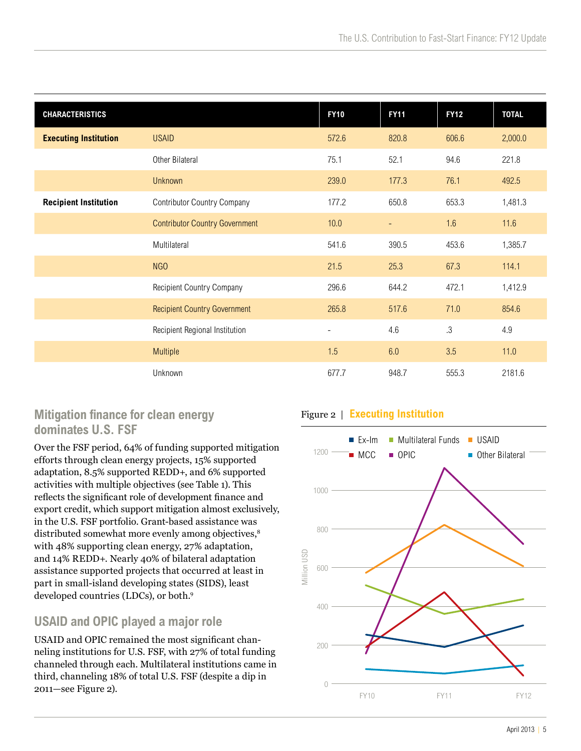| <b>CHARACTERISTICS</b>       |                                       | <b>FY10</b>              | <b>FY11</b> | <b>FY12</b> | <b>TOTAL</b> |
|------------------------------|---------------------------------------|--------------------------|-------------|-------------|--------------|
| <b>Executing Institution</b> | <b>USAID</b>                          | 572.6                    | 820.8       | 606.6       | 2,000.0      |
|                              | Other Bilateral                       | 75.1                     | 52.1        | 94.6        | 221.8        |
|                              | <b>Unknown</b>                        | 239.0                    | 177.3       | 76.1        | 492.5        |
| <b>Recipient Institution</b> | <b>Contributor Country Company</b>    | 177.2                    | 650.8       | 653.3       | 1,481.3      |
|                              | <b>Contributor Country Government</b> | 10.0                     | -           | 1.6         | 11.6         |
|                              | Multilateral                          | 541.6                    | 390.5       | 453.6       | 1,385.7      |
|                              | NGO                                   | 21.5                     | 25.3        | 67.3        | 114.1        |
|                              | <b>Recipient Country Company</b>      | 296.6                    | 644.2       | 472.1       | 1,412.9      |
|                              | <b>Recipient Country Government</b>   | 265.8                    | 517.6       | 71.0        | 854.6        |
|                              | Recipient Regional Institution        | $\overline{\phantom{0}}$ | 4.6         | $.3\,$      | 4.9          |
|                              | Multiple                              | 1.5                      | 6.0         | 3.5         | 11.0         |
|                              | Unknown                               | 677.7                    | 948.7       | 555.3       | 2181.6       |

## **Mitigation finance for clean energy dominates U.S. FSF**

Over the FSF period, 64% of funding supported mitigation efforts through clean energy projects, 15% supported adaptation, 8.5% supported REDD+, and 6% supported activities with multiple objectives (see Table 1). This reflects the significant role of development finance and export credit, which support mitigation almost exclusively, in the U.S. FSF portfolio. Grant-based assistance was distributed somewhat more evenly among objectives,<sup>8</sup> with 48% supporting clean energy, 27% adaptation, and 14% REDD+. Nearly 40% of bilateral adaptation assistance supported projects that occurred at least in part in small-island developing states (SIDS), least developed countries (LDCs), or both.9

## **USAID and OPIC played a major role**

USAID and OPIC remained the most significant channeling institutions for U.S. FSF, with 27% of total funding channeled through each. Multilateral institutions came in third, channeling 18% of total U.S. FSF (despite a dip in 2011—see Figure 2).

## Figure 2 | **Executing Institution**

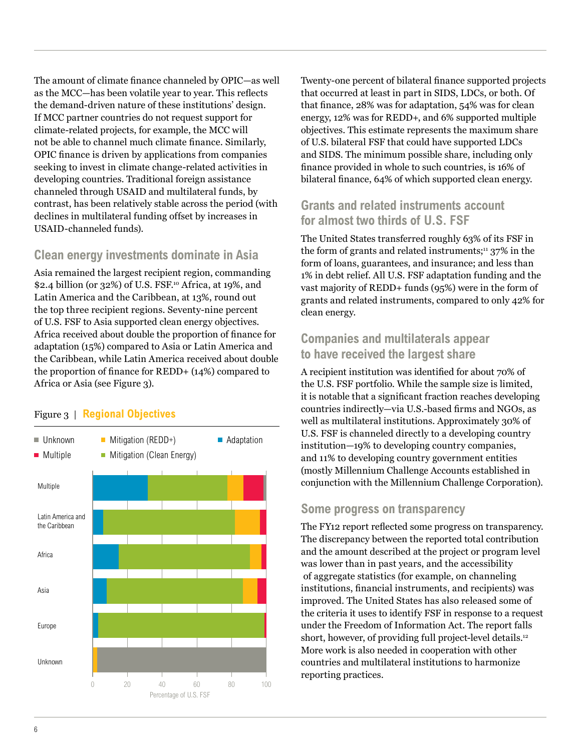The amount of climate finance channeled by OPIC—as well as the MCC—has been volatile year to year. This reflects the demand-driven nature of these institutions' design. If MCC partner countries do not request support for climate-related projects, for example, the MCC will not be able to channel much climate finance. Similarly, OPIC finance is driven by applications from companies seeking to invest in climate change-related activities in developing countries. Traditional foreign assistance channeled through USAID and multilateral funds, by contrast, has been relatively stable across the period (with declines in multilateral funding offset by increases in USAID-channeled funds).

## **Clean energy investments dominate in Asia**

Asia remained the largest recipient region, commanding \$2.4 billion (or 32%) of U.S. FSF.10 Africa, at 19%, and Latin America and the Caribbean, at 13%, round out the top three recipient regions. Seventy-nine percent of U.S. FSF to Asia supported clean energy objectives. Africa received about double the proportion of finance for adaptation (15%) compared to Asia or Latin America and the Caribbean, while Latin America received about double the proportion of finance for REDD+ (14%) compared to Africa or Asia (see Figure 3).

#### Figure 3 | **Regional Objectives**



Twenty-one percent of bilateral finance supported projects that occurred at least in part in SIDS, LDCs, or both. Of that finance, 28% was for adaptation, 54% was for clean energy, 12% was for REDD+, and 6% supported multiple objectives. This estimate represents the maximum share of U.S. bilateral FSF that could have supported LDCs and SIDS. The minimum possible share, including only finance provided in whole to such countries, is 16% of bilateral finance, 64% of which supported clean energy.

## **Grants and related instruments account for almost two thirds of U.S. FSF**

The United States transferred roughly 63% of its FSF in the form of grants and related instruments; $11$  37% in the form of loans, guarantees, and insurance; and less than 1% in debt relief. All U.S. FSF adaptation funding and the vast majority of REDD+ funds (95%) were in the form of grants and related instruments, compared to only 42% for clean energy.

## **Companies and multilaterals appear to have received the largest share**

A recipient institution was identified for about 70% of the U.S. FSF portfolio. While the sample size is limited, it is notable that a significant fraction reaches developing countries indirectly—via U.S.-based firms and NGOs, as well as multilateral institutions. Approximately 30% of U.S. FSF is channeled directly to a developing country institution—19% to developing country companies, and 11% to developing country government entities (mostly Millennium Challenge Accounts established in conjunction with the Millennium Challenge Corporation).

#### **Some progress on transparency**

The FY12 report reflected some progress on transparency. The discrepancy between the reported total contribution and the amount described at the project or program level was lower than in past years, and the accessibility of aggregate statistics (for example, on channeling institutions, financial instruments, and recipients) was improved. The United States has also released some of the criteria it uses to identify FSF in response to a request under the Freedom of Information Act. The report falls short, however, of providing full project-level details.<sup>12</sup> More work is also needed in cooperation with other countries and multilateral institutions to harmonize reporting practices.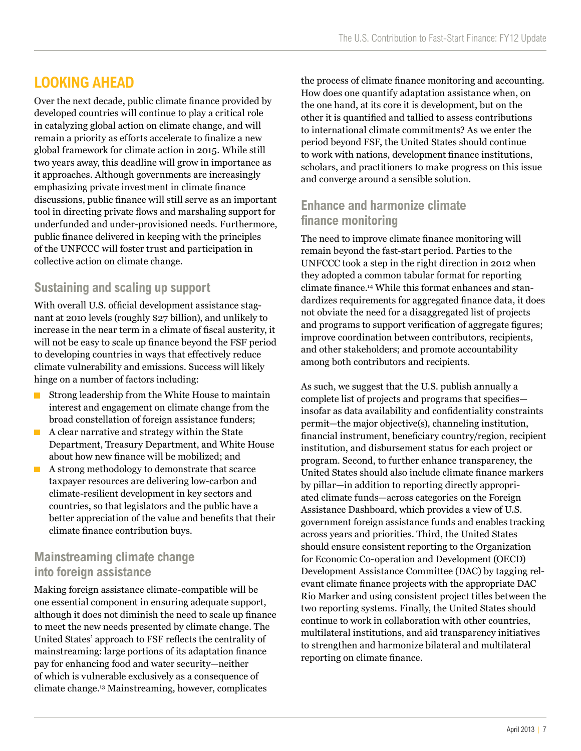# **Looking Ahead**

Over the next decade, public climate finance provided by developed countries will continue to play a critical role in catalyzing global action on climate change, and will remain a priority as efforts accelerate to finalize a new global framework for climate action in 2015. While still two years away, this deadline will grow in importance as it approaches. Although governments are increasingly emphasizing private investment in climate finance discussions, public finance will still serve as an important tool in directing private flows and marshaling support for underfunded and under-provisioned needs. Furthermore, public finance delivered in keeping with the principles of the UNFCCC will foster trust and participation in collective action on climate change.

## **Sustaining and scaling up support**

With overall U.S. official development assistance stagnant at 2010 levels (roughly \$27 billion), and unlikely to increase in the near term in a climate of fiscal austerity, it will not be easy to scale up finance beyond the FSF period to developing countries in ways that effectively reduce climate vulnerability and emissions. Success will likely hinge on a number of factors including:

- $\blacksquare$  Strong leadership from the White House to maintain interest and engagement on climate change from the broad constellation of foreign assistance funders;
- T. A clear narrative and strategy within the State Department, Treasury Department, and White House about how new finance will be mobilized; and
- A strong methodology to demonstrate that scarce п taxpayer resources are delivering low-carbon and climate-resilient development in key sectors and countries, so that legislators and the public have a better appreciation of the value and benefits that their climate finance contribution buys.

## **Mainstreaming climate change into foreign assistance**

Making foreign assistance climate-compatible will be one essential component in ensuring adequate support, although it does not diminish the need to scale up finance to meet the new needs presented by climate change. The United States' approach to FSF reflects the centrality of mainstreaming: large portions of its adaptation finance pay for enhancing food and water security—neither of which is vulnerable exclusively as a consequence of climate change.13 Mainstreaming, however, complicates

the process of climate finance monitoring and accounting. How does one quantify adaptation assistance when, on the one hand, at its core it is development, but on the other it is quantified and tallied to assess contributions to international climate commitments? As we enter the period beyond FSF, the United States should continue to work with nations, development finance institutions, scholars, and practitioners to make progress on this issue and converge around a sensible solution.

## **Enhance and harmonize climate finance monitoring**

The need to improve climate finance monitoring will remain beyond the fast-start period. Parties to the UNFCCC took a step in the right direction in 2012 when they adopted a common tabular format for reporting climate finance.14 While this format enhances and standardizes requirements for aggregated finance data, it does not obviate the need for a disaggregated list of projects and programs to support verification of aggregate figures; improve coordination between contributors, recipients, and other stakeholders; and promote accountability among both contributors and recipients.

As such, we suggest that the U.S. publish annually a complete list of projects and programs that specifies insofar as data availability and confidentiality constraints permit—the major objective(s), channeling institution, financial instrument, beneficiary country/region, recipient institution, and disbursement status for each project or program. Second, to further enhance transparency, the United States should also include climate finance markers by pillar—in addition to reporting directly appropriated climate funds—across categories on the Foreign Assistance Dashboard, which provides a view of U.S. government foreign assistance funds and enables tracking across years and priorities. Third, the United States should ensure consistent reporting to the Organization for Economic Co-operation and Development (OECD) Development Assistance Committee (DAC) by tagging relevant climate finance projects with the appropriate DAC Rio Marker and using consistent project titles between the two reporting systems. Finally, the United States should continue to work in collaboration with other countries, multilateral institutions, and aid transparency initiatives to strengthen and harmonize bilateral and multilateral reporting on climate finance.